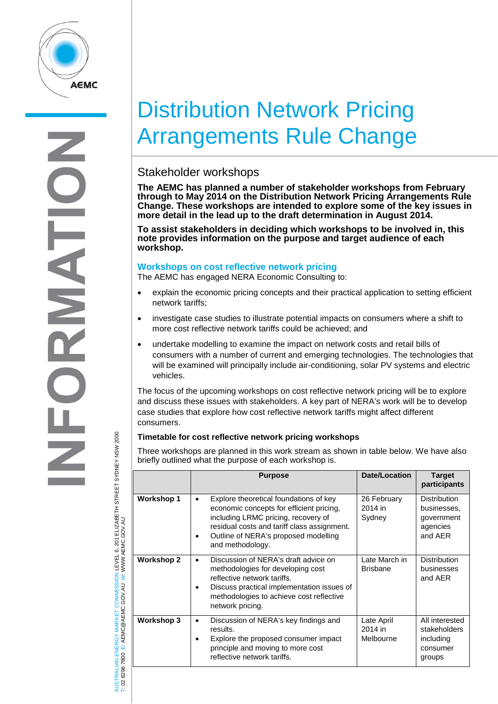

# Distribution Network Pricing Arrangements Rule Change

## Stakeholder workshops

**The AEMC has planned a number of stakeholder workshops from February through to May 2014 on the Distribution Network Pricing Arrangements Rule Change. These workshops are intended to explore some of the key issues in more detail in the lead up to the draft determination in August 2014.** 

**To assist stakeholders in deciding which workshops to be involved in, this note provides information on the purpose and target audience of each workshop.**

#### **Workshops on cost reflective network pricing**

The AEMC has engaged NERA Economic Consulting to:

- explain the economic pricing concepts and their practical application to setting efficient network tariffs;
- investigate case studies to illustrate potential impacts on consumers where a shift to more cost reflective network tariffs could be achieved; and
- undertake modelling to examine the impact on network costs and retail bills of consumers with a number of current and emerging technologies. The technologies that will be examined will principally include air-conditioning, solar PV systems and electric vehicles.

The focus of the upcoming workshops on cost reflective network pricing will be to explore and discuss these issues with stakeholders. A key part of NERA's work will be to develop case studies that explore how cost reflective network tariffs might affect different consumers.

### **Timetable for cost reflective network pricing workshops**

Three workshops are planned in this work stream as shown in table below. We have also briefly outlined what the purpose of each workshop is.

|                   | <b>Purpose</b>                                                                                                                                                                                                                            | Date/Location                      | <b>Target</b><br>participants                                           |
|-------------------|-------------------------------------------------------------------------------------------------------------------------------------------------------------------------------------------------------------------------------------------|------------------------------------|-------------------------------------------------------------------------|
| <b>Workshop 1</b> | Explore theoretical foundations of key<br>٠<br>economic concepts for efficient pricing,<br>including LRMC pricing, recovery of<br>residual costs and tariff class assignment.<br>Outline of NERA's proposed modelling<br>and methodology. | 26 February<br>2014 in<br>Sydney   | <b>Distribution</b><br>businesses,<br>government<br>agencies<br>and AER |
| <b>Workshop 2</b> | Discussion of NERA's draft advice on<br>٠<br>methodologies for developing cost<br>reflective network tariffs.<br>Discuss practical implementation issues of<br>methodologies to achieve cost reflective<br>network pricing.               | Late March in<br><b>Brisbane</b>   | <b>Distribution</b><br>businesses<br>and AER                            |
| <b>Workshop 3</b> | Discussion of NERA's key findings and<br>results.<br>Explore the proposed consumer impact<br>principle and moving to more cost<br>reflective network tariffs.                                                                             | Late April<br>2014 in<br>Melbourne | All interested<br>stakeholders<br>including<br>consumer<br>groups       |

AUSTRALIAN ENERGY MARKET COMMISSION LEVEL 6, 201 ELIZABETH STREET SYDNEY NSW 2000 TRALIAN ENERGY MARKET COMMISSION LEVEL 6, 201 ELIZABETH STREET SYDNEY NSW 2000<br>8296 7800 E: AEMC@AEMC.GOV.AU W: WWW.AEMC.GOV.AU W: WWW.AEMC.GOV.AU T: 02 8296 7800 E: AEMC@AEMC.GOV.AU **JSTRALIAN** 

 $\overline{8}$